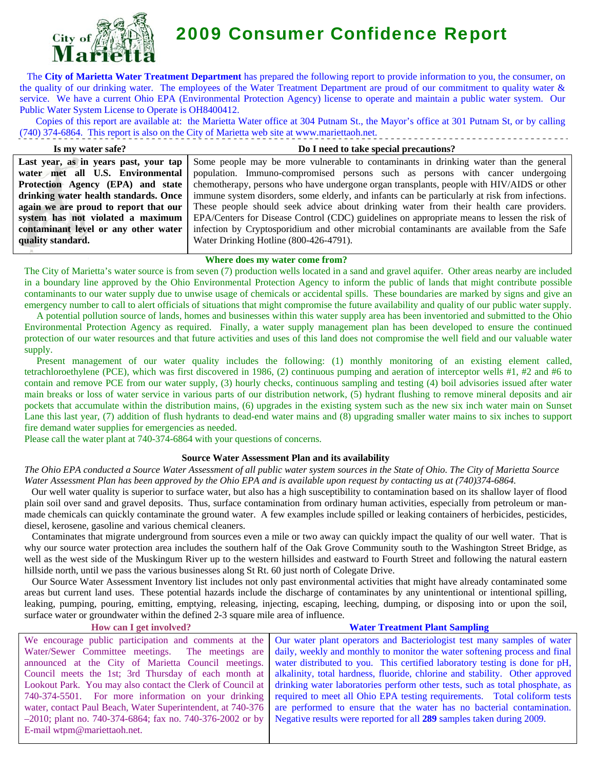

# 2009 Consumer Confidence Report

 The **City of Marietta Water Treatment Department** has prepared the following report to provide information to you, the consumer, on the quality of our drinking water. The employees of the Water Treatment Department are proud of our commitment to quality water & service. We have a current Ohio EPA (Environmental Protection Agency) license to operate and maintain a public water system. Our Public Water System License to Operate is OH8400412.

 Copies of this report are available at: the Marietta Water office at 304 Putnam St., the Mayor's office at 301 Putnam St, or by calling (740) 374-6864. This report is also on the City of Marietta web site at www.mariettaoh.net.

**Is my water safe? Last year, as in years past, your tap water met all U.S. Environmental Protection Agency (EPA) and state drinking water health standards. Once again we are proud to report that our system has not violated a maximum contaminant level or any other water quality standard.**

#### **Do I need to take special precautions?**

Some people may be more vulnerable to contaminants in drinking water than the general population. Immuno-compromised persons such as persons with cancer undergoing chemotherapy, persons who have undergone organ transplants, people with HIV/AIDS or other immune system disorders, some elderly, and infants can be particularly at risk from infections. These people should seek advice about drinking water from their health care providers. EPA/Centers for Disease Control (CDC) guidelines on appropriate means to lessen the risk of infection by Cryptosporidium and other microbial contaminants are available from the Safe Water Drinking Hotline (800-426-4791).

#### **Where does my water come from?**

The City of Marietta's water source is from seven (7) production wells located in a sand and gravel aquifer. Other areas nearby are included in a boundary line approved by the Ohio Environmental Protection Agency to inform the public of lands that might contribute possible contaminants to our water supply due to unwise usage of chemicals or accidental spills. These boundaries are marked by signs and give an emergency number to call to alert officials of situations that might compromise the future availability and quality of our public water supply.

 A potential pollution source of lands, homes and businesses within this water supply area has been inventoried and submitted to the Ohio Environmental Protection Agency as required. Finally, a water supply management plan has been developed to ensure the continued protection of our water resources and that future activities and uses of this land does not compromise the well field and our valuable water supply.

Present management of our water quality includes the following: (1) monthly monitoring of an existing element called, tetrachloroethylene (PCE), which was first discovered in 1986, (2) continuous pumping and aeration of interceptor wells #1, #2 and #6 to contain and remove PCE from our water supply, (3) hourly checks, continuous sampling and testing (4) boil advisories issued after water main breaks or loss of water service in various parts of our distribution network, (5) hydrant flushing to remove mineral deposits and air pockets that accumulate within the distribution mains, (6) upgrades in the existing system such as the new six inch water main on Sunset Lane this last year, (7) addition of flush hydrants to dead-end water mains and (8) upgrading smaller water mains to six inches to support fire demand water supplies for emergencies as needed.

Please call the water plant at 740-374-6864 with your questions of concerns.

# **Source Water Assessment Plan and its availability**

*The Ohio EPA conducted a Source Water Assessment of all public water system sources in the State of Ohio. The City of Marietta Source Water Assessment Plan has been approved by the Ohio EPA and is available upon request by contacting us at (740)374-6864.* 

 Our well water quality is superior to surface water, but also has a high susceptibility to contamination based on its shallow layer of flood plain soil over sand and gravel deposits. Thus, surface contamination from ordinary human activities, especially from petroleum or manmade chemicals can quickly contaminate the ground water. A few examples include spilled or leaking containers of herbicides, pesticides, diesel, kerosene, gasoline and various chemical cleaners.

 Contaminates that migrate underground from sources even a mile or two away can quickly impact the quality of our well water. That is why our source water protection area includes the southern half of the Oak Grove Community south to the Washington Street Bridge, as well as the west side of the Muskingum River up to the western hillsides and eastward to Fourth Street and following the natural eastern hillside north, until we pass the various businesses along St Rt. 60 just north of Colegate Drive.

 Our Source Water Assessment Inventory list includes not only past environmental activities that might have already contaminated some areas but current land uses. These potential hazards include the discharge of contaminates by any unintentional or intentional spilling, leaking, pumping, pouring, emitting, emptying, releasing, injecting, escaping, leeching, dumping, or disposing into or upon the soil, surface water or groundwater within the defined 2-3 square mile area of influence.

| <b>Water Treatment Plant Sampling</b>                                                                                         |  |  |  |  |  |
|-------------------------------------------------------------------------------------------------------------------------------|--|--|--|--|--|
| We encourage public participation and comments at the Our water plant operators and Bacteriologist test many samples of water |  |  |  |  |  |
| daily, weekly and monthly to monitor the water softening process and final                                                    |  |  |  |  |  |
| water distributed to you. This certified laboratory testing is done for pH,                                                   |  |  |  |  |  |
| alkalinity, total hardness, fluoride, chlorine and stability. Other approved                                                  |  |  |  |  |  |
| drinking water laboratories perform other tests, such as total phosphate, as                                                  |  |  |  |  |  |
| required to meet all Ohio EPA testing requirements. Total coliform tests                                                      |  |  |  |  |  |
| are performed to ensure that the water has no bacterial contamination.                                                        |  |  |  |  |  |
| Negative results were reported for all 289 samples taken during 2009.                                                         |  |  |  |  |  |
|                                                                                                                               |  |  |  |  |  |
|                                                                                                                               |  |  |  |  |  |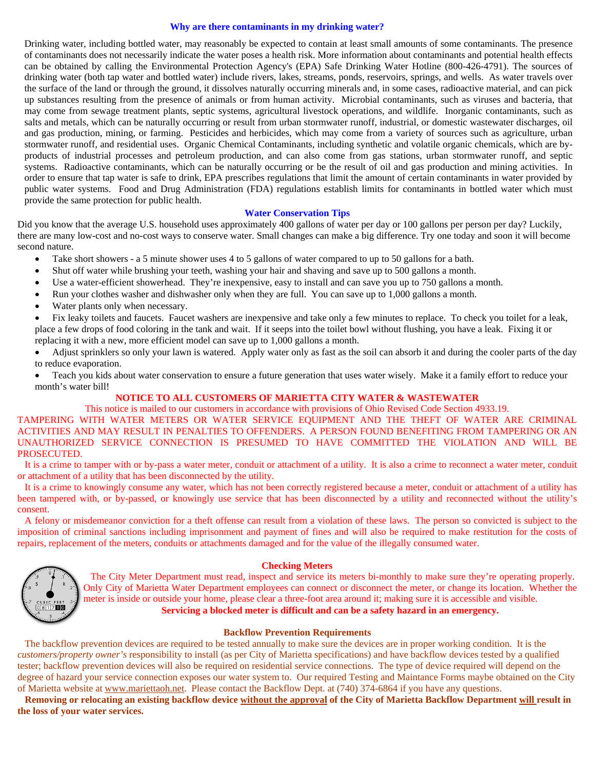#### **Why are there contaminants in my drinking water?**

Drinking water, including bottled water, may reasonably be expected to contain at least small amounts of some contaminants. The presence of contaminants does not necessarily indicate the water poses a health risk. More information about contaminants and potential health effects can be obtained by calling the Environmental Protection Agency's (EPA) Safe Drinking Water Hotline (800-426-4791). The sources of drinking water (both tap water and bottled water) include rivers, lakes, streams, ponds, reservoirs, springs, and wells. As water travels over the surface of the land or through the ground, it dissolves naturally occurring minerals and, in some cases, radioactive material, and can pick up substances resulting from the presence of animals or from human activity. Microbial contaminants, such as viruses and bacteria, that may come from sewage treatment plants, septic systems, agricultural livestock operations, and wildlife. Inorganic contaminants, such as salts and metals, which can be naturally occurring or result from urban stormwater runoff, industrial, or domestic wastewater discharges, oil and gas production, mining, or farming. Pesticides and herbicides, which may come from a variety of sources such as agriculture, urban stormwater runoff, and residential uses. Organic Chemical Contaminants, including synthetic and volatile organic chemicals, which are byproducts of industrial processes and petroleum production, and can also come from gas stations, urban stormwater runoff, and septic systems. Radioactive contaminants, which can be naturally occurring or be the result of oil and gas production and mining activities. In order to ensure that tap water is safe to drink, EPA prescribes regulations that limit the amount of certain contaminants in water provided by public water systems. Food and Drug Administration (FDA) regulations establish limits for contaminants in bottled water which must provide the same protection for public health.

#### **Water Conservation Tips**

Did you know that the average U.S. household uses approximately 400 gallons of water per day or 100 gallons per person per day? Luckily, there are many low-cost and no-cost ways to conserve water. Small changes can make a big difference. Try one today and soon it will become second nature.

- Take short showers a 5 minute shower uses 4 to 5 gallons of water compared to up to 50 gallons for a bath.
- Shut off water while brushing your teeth, washing your hair and shaving and save up to 500 gallons a month.
- Use a water-efficient showerhead. They're inexpensive, easy to install and can save you up to 750 gallons a month.
- Run your clothes washer and dishwasher only when they are full. You can save up to 1,000 gallons a month.
- Water plants only when necessary.

• Fix leaky toilets and faucets. Faucet washers are inexpensive and take only a few minutes to replace. To check you toilet for a leak, place a few drops of food coloring in the tank and wait. If it seeps into the toilet bowl without flushing, you have a leak. Fixing it or replacing it with a new, more efficient model can save up to 1,000 gallons a month.

- Adjust sprinklers so only your lawn is watered. Apply water only as fast as the soil can absorb it and during the cooler parts of the day to reduce evaporation.
- Teach you kids about water conservation to ensure a future generation that uses water wisely. Make it a family effort to reduce your month's water bill!

## **NOTICE TO ALL CUSTOMERS OF MARIETTA CITY WATER & WASTEWATER**

This notice is mailed to our customers in accordance with provisions of Ohio Revised Code Section 4933.19.

TAMPERING WITH WATER METERS OR WATER SERVICE EQUIPMENT AND THE THEFT OF WATER ARE CRIMINAL ACTIVITIES AND MAY RESULT IN PENALTIES TO OFFENDERS. A PERSON FOUND BENEFITING FROM TAMPERING OR AN UNAUTHORIZED SERVICE CONNECTION IS PRESUMED TO HAVE COMMITTED THE VIOLATION AND WILL BE PROSECUTED.

 It is a crime to tamper with or by-pass a water meter, conduit or attachment of a utility. It is also a crime to reconnect a water meter, conduit or attachment of a utility that has been disconnected by the utility.

 It is a crime to knowingly consume any water, which has not been correctly registered because a meter, conduit or attachment of a utility has been tampered with, or by-passed, or knowingly use service that has been disconnected by a utility and reconnected without the utility's consent.

 A felony or misdemeanor conviction for a theft offense can result from a violation of these laws. The person so convicted is subject to the imposition of criminal sanctions including imprisonment and payment of fines and will also be required to make restitution for the costs of repairs, replacement of the meters, conduits or attachments damaged and for the value of the illegally consumed water.



#### **Checking Meters**

 The City Meter Department must read, inspect and service its meters bi-monthly to make sure they're operating properly. Only City of Marietta Water Department employees can connect or disconnect the meter, or change its location. Whether the meter is inside or outside your home, please clear a three-foot area around it; making sure it is accessible and visible. **Servicing a blocked meter is difficult and can be a safety hazard in an emergency.** 

#### **Backflow Prevention Requirements**

The backflow prevention devices are required to be tested annually to make sure the devices are in proper working condition. It is the *customers/property owner's* responsibility to install (as per City of Marietta specifications) and have backflow devices tested by a qualified tester; backflow prevention devices will also be required on residential service connections. The type of device required will depend on the degree of hazard your service connection exposes our water system to. Our required Testing and Maintance Forms maybe obtained on the City of Marietta website at [www.mariettaoh.net.](http://www.mariettaoh.net/) Please contact the Backflow Dept. at (740) 374-6864 if you have any questions.

 **Removing or relocating an existing backflow device without the approval of the City of Marietta Backflow Department will result in the loss of your water services.**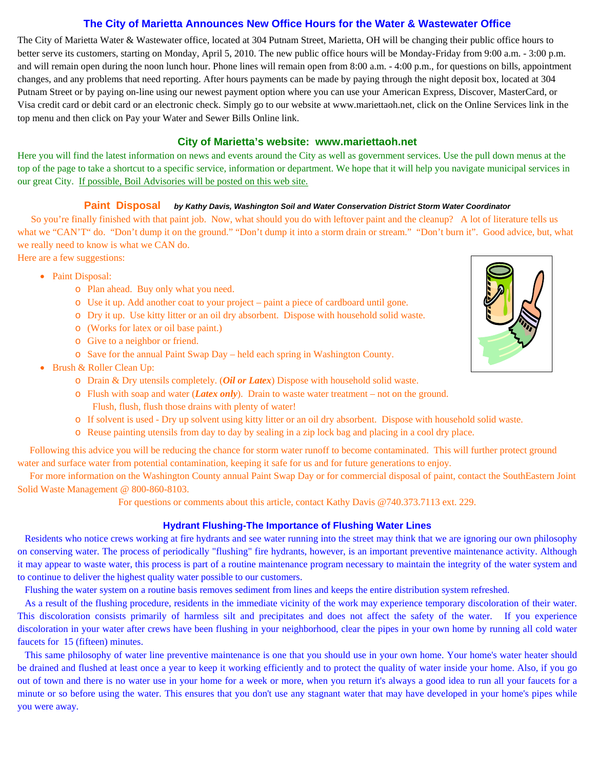# **The City of Marietta Announces New Office Hours for the Water & Wastewater Office**

The City of Marietta Water & Wastewater office, located at 304 Putnam Street, Marietta, OH will be changing their public office hours to better serve its customers, starting on Monday, April 5, 2010. The new public office hours will be Monday-Friday from 9:00 a.m. - 3:00 p.m. and will remain open during the noon lunch hour. Phone lines will remain open from 8:00 a.m. - 4:00 p.m., for questions on bills, appointment changes, and any problems that need reporting. After hours payments can be made by paying through the night deposit box, located at 304 Putnam Street or by paying on-line using our newest payment option where you can use your American Express, Discover, MasterCard, or Visa credit card or debit card or an electronic check. Simply go to our website at www.mariettaoh.net, click on the Online Services link in the top menu and then click on Pay your Water and Sewer Bills Online link.

# **City of Marietta's website: www.mariettaoh.net**

Here you will find the latest information on news and events around the City as well as government services. Use the pull down menus at the top of the page to take a shortcut to a specific service, information or department. We hope that it will help you navigate municipal services in our great City. If possible, Boil Advisories will be posted on this web site.

### **Paint Disposal** *by Kathy Davis, Washington Soil and Water Conservation District Storm Water Coordinator*

So you're finally finished with that paint job. Now, what should you do with leftover paint and the cleanup? A lot of literature tells us what we "CAN'T" do. "Don't dump it on the ground." "Don't dump it into a storm drain or stream." "Don't burn it". Good advice, but, what we really need to know is what we CAN do.

Here are a few suggestions:

- Paint Disposal:
	- o Plan ahead. Buy only what you need.
	- o Use it up. Add another coat to your project paint a piece of cardboard until gone.
	- o Dry it up. Use kitty litter or an oil dry absorbent. Dispose with household solid waste.
	- o (Works for latex or oil base paint.)
	- o Give to a neighbor or friend.
	- o Save for the annual Paint Swap Day held each spring in Washington County.
- Brush & Roller Clean Up:
	- o Drain & Dry utensils completely. (*Oil or Latex*) Dispose with household solid waste.
	- o Flush with soap and water (*Latex only*). Drain to waste water treatment not on the ground. Flush, flush, flush those drains with plenty of water!
	- o If solvent is used Dry up solvent using kitty litter or an oil dry absorbent. Dispose with household solid waste.
	- o Reuse painting utensils from day to day by sealing in a zip lock bag and placing in a cool dry place.

 Following this advice you will be reducing the chance for storm water runoff to become contaminated. This will further protect ground water and surface water from potential contamination, keeping it safe for us and for future generations to enjoy.

 For more information on the Washington County annual Paint Swap Day or for commercial disposal of paint, contact the SouthEastern Joint Solid Waste Management @ 800-860-8103.

For questions or comments about this article, contact Kathy Davis @740.373.7113 ext. 229.

#### **Hydrant Flushing-The Importance of Flushing Water Lines**

 Residents who notice crews working at fire hydrants and see water running into the street may think that we are ignoring our own philosophy on conserving water. The process of periodically "flushing" fire hydrants, however, is an important preventive maintenance activity. Although it may appear to waste water, this process is part of a routine maintenance program necessary to maintain the integrity of the water system and to continue to deliver the highest quality water possible to our customers.

Flushing the water system on a routine basis removes sediment from lines and keeps the entire distribution system refreshed.

 As a result of the flushing procedure, residents in the immediate vicinity of the work may experience temporary discoloration of their water. This discoloration consists primarily of harmless silt and precipitates and does not affect the safety of the water. If you experience discoloration in your water after crews have been flushing in your neighborhood, clear the pipes in your own home by running all cold water faucets for 15 (fifteen) minutes.

 This same philosophy of water line preventive maintenance is one that you should use in your own home. Your home's water heater should be drained and flushed at least once a year to keep it working efficiently and to protect the quality of water inside your home. Also, if you go out of town and there is no water use in your home for a week or more, when you return it's always a good idea to run all your faucets for a minute or so before using the water. This ensures that you don't use any stagnant water that may have developed in your home's pipes while you were away.